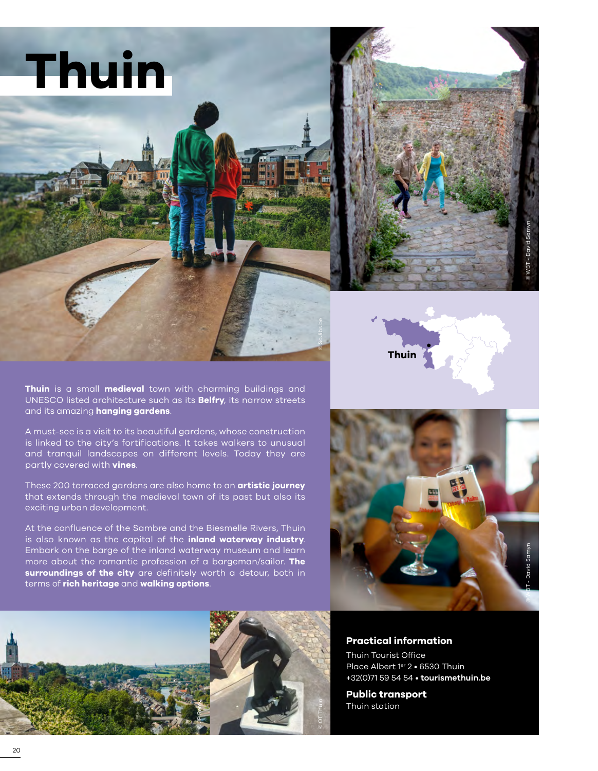



**Thuin** is a small **medieval** town with charming buildings and UNESCO listed architecture such as its **Belfry**, its narrow streets and its amazing **hanging gardens**.

A must-see is a visit to its beautiful gardens, whose construction is linked to the city's fortifications. It takes walkers to unusual and tranquil landscapes on different levels. Today they are partly covered with **vines**.

These 200 terraced gardens are also home to an **artistic journey**  that extends through the medieval town of its past but also its exciting urban development.

At the confluence of the Sambre and the Biesmelle Rivers, Thuin is also known as the capital of the **inland waterway industry**. Embark on the barge of the inland waterway museum and learn more about the romantic profession of a bargeman/sailor. **The surroundings of the city** are definitely worth a detour, both in terms of **rich heritage** and **walking options**.



**Thuin**

© SoJibs.be



**Practical information**

Thuin Tourist Office Place Albert 1er 2 · 6530 Thuin +32(0)71 59 54 54 • **[tourismethuin.be](https://tourismethuin.be/fr)**

**Public transport** Thuin station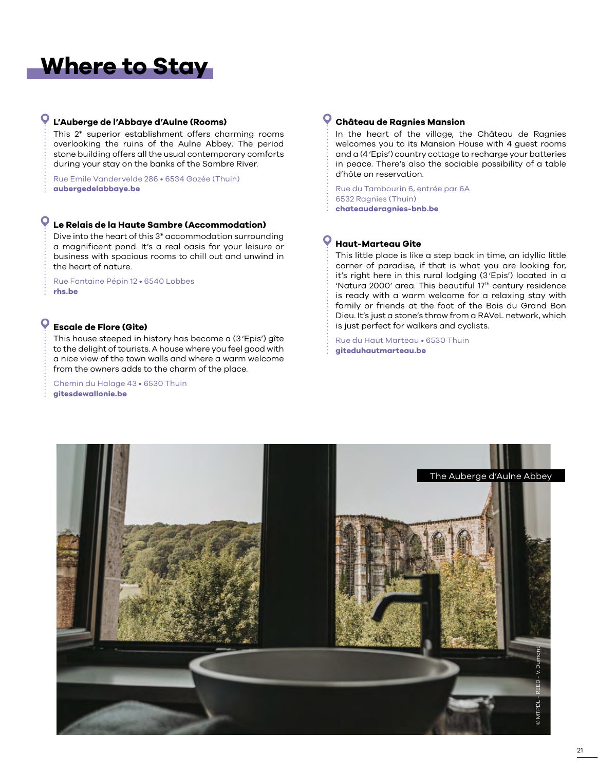# **Where to Stay**

### **L'Auberge de l'Abbaye d'Aulne (Rooms)**

This 2\* superior establishment offers charming rooms overlooking the ruins of the Aulne Abbey. The period stone building offers all the usual contemporary comforts during your stay on the banks of the Sambre River.

Rue Emile Vandervelde 286 • 6534 Gozée (Thuin) **[aubergedelabbaye.be](www.aubergedelabbaye.be)**

### **Le Relais de la Haute Sambre (Accommodation)**

Dive into the heart of this 3\* accommodation surrounding a magnificent pond. It's a real oasis for your leisure or business with spacious rooms to chill out and unwind in the heart of nature.

Rue Fontaine Pépin 12 • 6540 Lobbes **[rhs.be](www.rhs.be)**

#### O **Escale de Flore (Gite)**

This house steeped in history has become a (3'Epis') gîte to the delight of tourists. A house where you feel good with a nice view of the town walls and where a warm welcome from the owners adds to the charm of the place.

Chemin du Halage 43 • 6530 Thuin **[gitesdewallonie.be](https://gitesdewallonie.be/fr/escale-de-flore)**

#### **Château de Ragnies Mansion**

In the heart of the village, the Château de Ragnies welcomes you to its Mansion House with 4 guest rooms and a (4'Epis') country cottage to recharge your batteries in peace. There's also the sociable possibility of a table d'hôte on reservation.

Rue du Tambourin 6, entrée par 6A 6532 Ragnies (Thuin) **[chateauderagnies-bnb.be](http://chateauderagnies-bnb.be)**

#### O **Haut-Marteau Gite**

This little place is like a step back in time, an idyllic little corner of paradise, if that is what you are looking for, it's right here in this rural lodging (3'Epis') located in a 'Natura 2000' area. This beautiful 17th century residence is ready with a warm welcome for a relaxing stay with family or friends at the foot of the Bois du Grand Bon Dieu. It's just a stone's throw from a RAVeL network, which is just perfect for walkers and cyclists.

Rue du Haut Marteau • 6530 Thuin **[giteduhautmarteau.be](https://www.giteduhautmarteau.be/le-gite)**

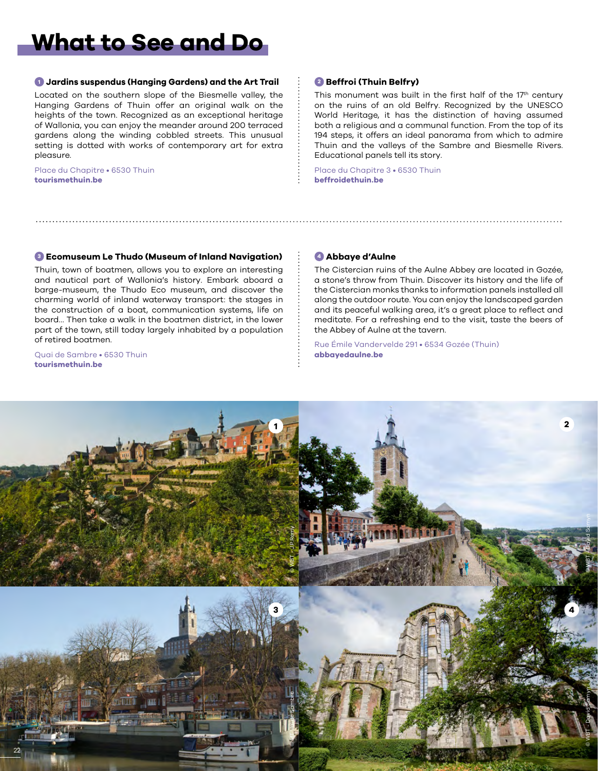## **What to See and Do**

#### **<sup>1</sup> Jardins suspendus (Hanging Gardens) and the Art Trail**

Located on the southern slope of the Biesmelle valley, the Hanging Gardens of Thuin offer an original walk on the heights of the town. Recognized as an exceptional heritage of Wallonia, you can enjoy the meander around 200 terraced gardens along the winding cobbled streets. This unusual setting is dotted with works of contemporary art for extra pleasure.

Place du Chapitre • 6530 Thuin **[tourismethuin.be](www.tourismethuin.be)**

#### **<sup>2</sup> Beffroi (Thuin Belfry)**

This monument was built in the first half of the 17<sup>th</sup> century on the ruins of an old Belfry. Recognized by the UNESCO World Heritage, it has the distinction of having assumed both a religious and a communal function. From the top of its 194 steps, it offers an ideal panorama from which to admire Thuin and the valleys of the Sambre and Biesmelle Rivers. Educational panels tell its story.

Place du Chapitre 3 • 6530 Thuin **[beffroidethuin.be](https://beffroidethuin.be/fr)**

#### **<sup>3</sup> Ecomuseum Le Thudo (Museum of Inland Navigation)**

Thuin, town of boatmen, allows you to explore an interesting and nautical part of Wallonia's history. Embark aboard a barge-museum, the Thudo Eco museum, and discover the charming world of inland waterway transport: the stages in the construction of a boat, communication systems, life on board… Then take a walk in the boatmen district, in the lower part of the town, still today largely inhabited by a population of retired boatmen.

Quai de Sambre • 6530 Thuin **[tourismethuin.be](www.tourismethuin.be)**

#### **<sup>4</sup> Abbaye d'Aulne**

The Cistercian ruins of the Aulne Abbey are located in Gozée, a stone's throw from Thuin. Discover its history and the life of the Cistercian monks thanks to information panels installed all along the outdoor route. You can enjoy the landscaped garden and its peaceful walking area, it's a great place to reflect and meditate. For a refreshing end to the visit, taste the beers of the Abbey of Aulne at the tavern.

Rue Émile Vandervelde 291 • 6534 Gozée (Thuin) **[abbayedaulne.be](https://abbayedaulne.be/fr)**